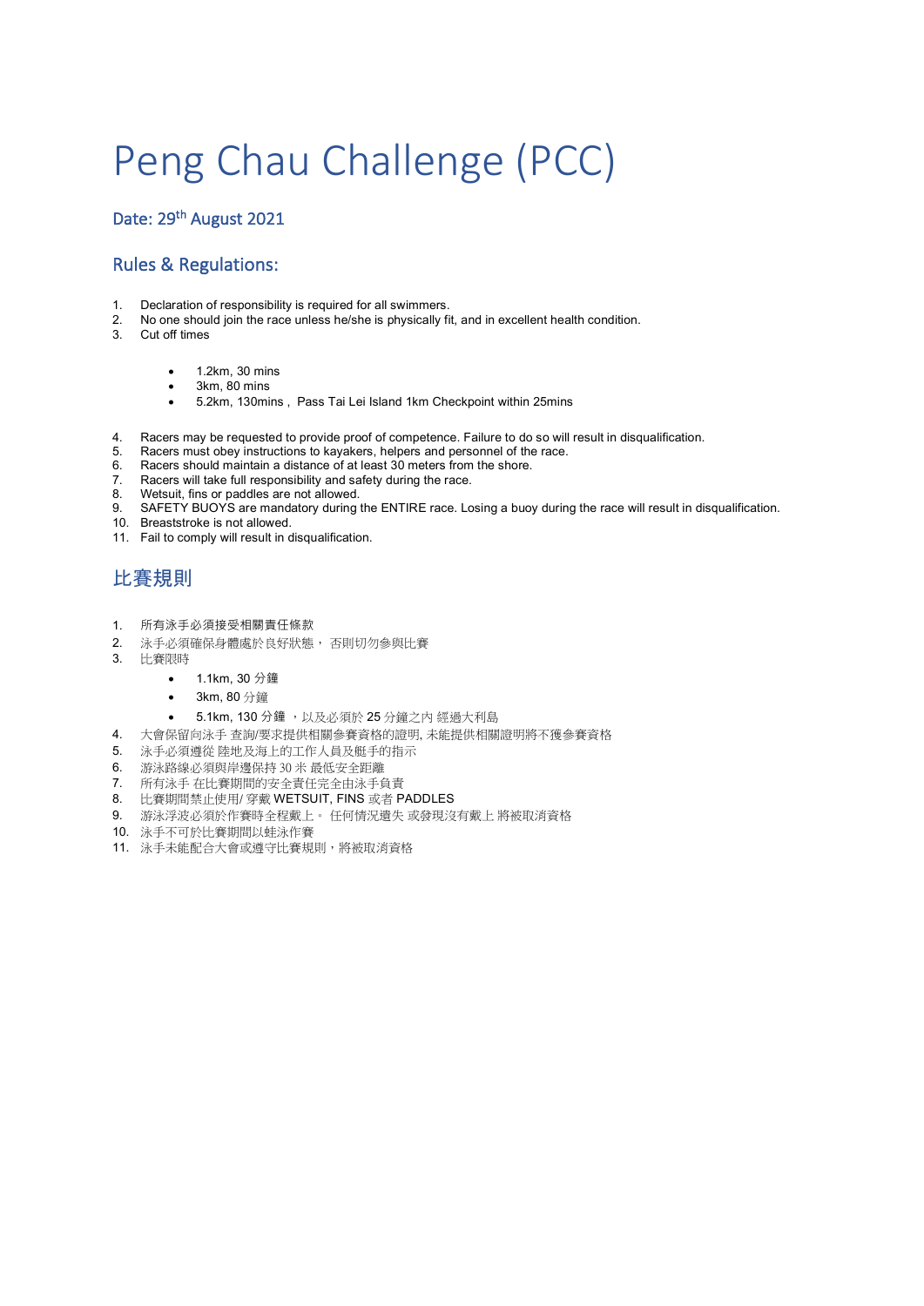# Peng Chau Challenge (PCC)

Date: 29<sup>th</sup> August 2021

#### Rules & Regulations:

- 1. Declaration of responsibility is required for all swimmers.
- 2. No one should join the race unless he/she is physically fit, and in excellent health condition.
- 3. Cut off times
	- 1.2km, 30 mins
	- 3km, 80 mins
	- 5.2km, 130mins , Pass Tai Lei Island 1km Checkpoint within 25mins
- 4. Racers may be requested to provide proof of competence. Failure to do so will result in disqualification.
- 5. Racers must obey instructions to kayakers, helpers and personnel of the race.
- 6. Racers should maintain a distance of at least 30 meters from the shore.<br>6. Racers will take full responsibility and safety during the race.
- Racers will take full responsibility and safety during the race.
- 8. Wetsuit, fins or paddles are not allowed.
- SAFETY BUOYS are mandatory during the ENTIRE race. Losing a buoy during the race will result in disqualification. 9. SAFETY BUOYS are manual 10. Breaststroke is not allowed.
- 
- 11. Fail to comply will result in disqualification.

### 比賽規則

- 1. 所有泳手必須接受相關責任條款
- 2. 泳手必須確保身體處於良好狀態, 否則切勿參與比賽
- 3. 比賽限時
	- 1.1km, 30 分鐘
	- 3km, 80 分鐘
		- 5.1km, 130 分鐘, 以及必須於 25 分鐘之內 經過大利島
- 4. 大會保留向泳手 查詢/要求提供相關參賽資格的證明, 未能提供相關證明將不獲參賽資格
- 5. 泳手必須遵從 陸地及海上的工作人員及艇手的指示
- 6. 游泳路線必須與岸邊保持 30 米 最低安全距離
- 7. 所有泳手 在比賽期間的安全責任完全由泳手負責
- 8. 比賽期間禁止使用/ 穿戴 WETSUIT, FINS 或者 PADDLES
- 9. 游泳浮波必須於作賽時全程戴上。 任何情況遺失 或發現沒有戴上 將被取消資格
- 10. 泳手不可於比賽期間以蛙泳作賽
- 11. 泳手未能配合大會或遵守比賽規則,將被取消資格